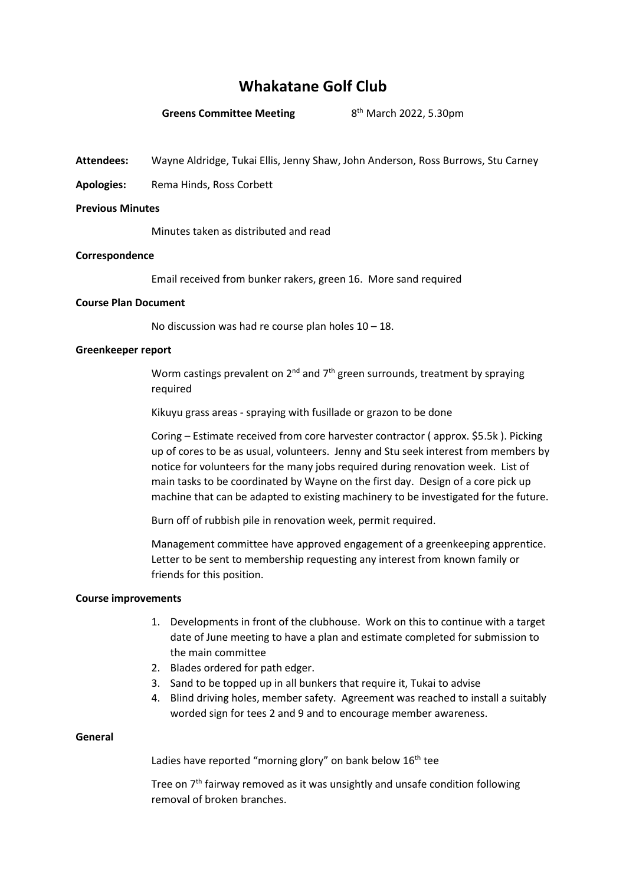# **Whakatane Golf Club**

#### **Greens Committee Meeting**

8<sup>th</sup> March 2022, 5.30pm

**Attendees:** Wayne Aldridge, Tukai Ellis, Jenny Shaw, John Anderson, Ross Burrows, Stu Carney

**Apologies:** Rema Hinds, Ross Corbett

### **Previous Minutes**

Minutes taken as distributed and read

### **Correspondence**

Email received from bunker rakers, green 16. More sand required

### **Course Plan Document**

No discussion was had re course plan holes 10 – 18.

### **Greenkeeper report**

Worm castings prevalent on  $2^{nd}$  and  $7^{th}$  green surrounds, treatment by spraying required

Kikuyu grass areas - spraying with fusillade or grazon to be done

Coring – Estimate received from core harvester contractor ( approx. \$5.5k ). Picking up of cores to be as usual, volunteers. Jenny and Stu seek interest from members by notice for volunteers for the many jobs required during renovation week. List of main tasks to be coordinated by Wayne on the first day. Design of a core pick up machine that can be adapted to existing machinery to be investigated for the future.

Burn off of rubbish pile in renovation week, permit required.

Management committee have approved engagement of a greenkeeping apprentice. Letter to be sent to membership requesting any interest from known family or friends for this position.

## **Course improvements**

- 1. Developments in front of the clubhouse. Work on this to continue with a target date of June meeting to have a plan and estimate completed for submission to the main committee
- 2. Blades ordered for path edger.
- 3. Sand to be topped up in all bunkers that require it, Tukai to advise
- 4. Blind driving holes, member safety. Agreement was reached to install a suitably worded sign for tees 2 and 9 and to encourage member awareness.

#### **General**

Ladies have reported "morning glory" on bank below  $16<sup>th</sup>$  tee

Tree on  $7<sup>th</sup>$  fairway removed as it was unsightly and unsafe condition following removal of broken branches.